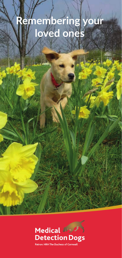# **Remembering your loved ones**



Patron: HRH The Duchess of Cornwall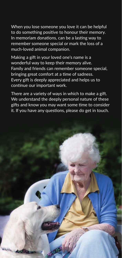When you lose someone you love it can be helpful to do something positive to honour their memory. In memoriam donations, can be a lasting way to remember someone special or mark the loss of a much-loved animal companion.

Making a gift in your loved one's name is a wonderful way to keep their memory alive. Family and friends can remember someone special, bringing great comfort at a time of sadness. Every gift is deeply appreciated and helps us to continue our important work.

There are a variety of ways in which to make a gift. We understand the deeply personal nature of these gifts and know you may want some time to consider it. If you have any questions, please do get in touch.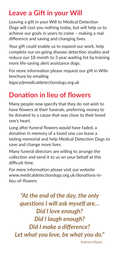## **Leave a Gift in your Will**

Leaving a gift in your Will to Medical Detection Dogs will cost you nothing today, but will help us to achieve our goals in years to come – making a real difference and saving and changing lives.

Your gift could enable us to expand our work, help complete our on-going disease detection studies and reduce our 18 month to 3 year waiting list by training more life-saving alert assistance dogs.

For more information please request our gift in Wills brochure by emailing

legacy@medicaldetectiondogs.org.uk

# **Donation in lieu of flowers**

Many people now specify that they do not wish to have flowers at their funerals, preferring money to be donated to a cause that was close to their loved one's heart.

Long after funeral flowers would have faded, a donation in memory of a loved one can leave a lasting memorial and help Medical Detection Dogs to save and change more lives.

Many funeral directors are willing to arrange the collection and send it to us on your behalf at this difficult time.

For more information please visit our website www.medicaldetectiondogs.org.uk/donations-inlieu-of-flowers

*"At the end of the day, the only questions I will ask myself are… Did I love enough? Did I laugh enough? Did I make a difference? Let what you love, be what you do."* Katrina Mayer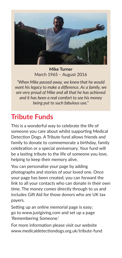

**Mike Turner** March 1965 – August 2016

*"When Mike passed away, we knew that he would want his legacy to make a difference. As a family, we are very proud of Mike and all that he has achieved and it has been a real comfort to see his money being put to such fabulous use."*

## **Tribute Funds**

This is a wonderful way to celebrate the life of someone you care about whilst supporting Medical Detection Dogs. A Tribute fund allows friends and family to donate to commemorate a birthday, family celebration or a special anniversary. Your fund will be a lasting tribute to the life of someone you love, helping to keep their memory alive.

You can personalise your page by adding photographs and stories of your loved one. Once your page has been created, you can forward the link to all your contacts who can donate in their own time. The money comes directly through to us and includes Gift Aid for those donors who are UK tax payers.

Setting up an online memorial page is easy; go to www.justgiving.com and set up a page 'Remembering Someone.'

For more information please visit our website www.medicaldetectiondogs.org.uk/tribute-fund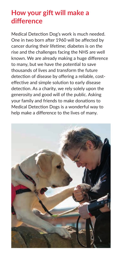#### **How your gift will make a difference**

Medical Detection Dog's work is much needed. One in two born after 1960 will be affected by cancer during their lifetime; diabetes is on the rise and the challenges facing the NHS are well known. We are already making a huge difference to many, but we have the potential to save thousands of lives and transform the future detection of disease by offering a reliable, costeffective and simple solution to early disease detection. As a charity, we rely solely upon the generosity and good will of the public. Asking your family and friends to make donations to Medical Detection Dogs is a wonderful way to help make a difference to the lives of many.